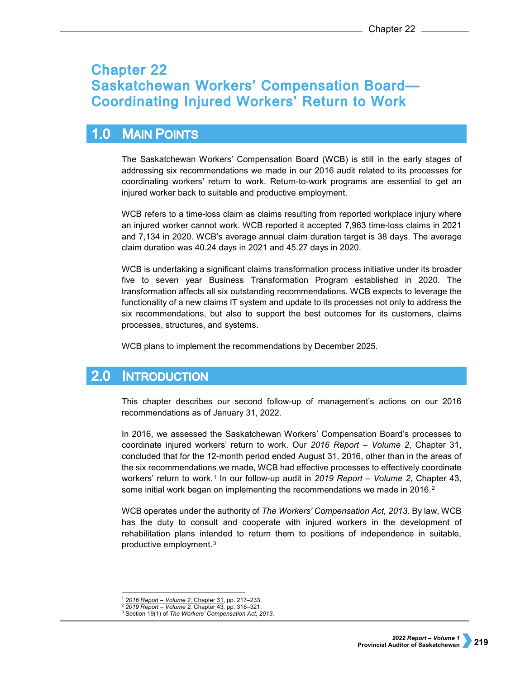# **Chapter 22 Saskatchewan Workers' Compensation Board-Coordinating Injured Workers' Return to Work**

## $1.0$ **MAIN POINTS**

The Saskatchewan Workers' Compensation Board (WCB) is still in the early stages of addressing six recommendations we made in our 2016 audit related to its processes for coordinating workers' return to work. Return-to-work programs are essential to get an injured worker back to suitable and productive employment.

WCB refers to a time-loss claim as claims resulting from reported workplace injury where an injured worker cannot work. WCB reported it accepted 7,963 time-loss claims in 2021 and 7,134 in 2020. WCB's average annual claim duration target is 38 days. The average claim duration was 40.24 days in 2021 and 45.27 days in 2020.

WCB is undertaking a significant claims transformation process initiative under its broader five to seven year Business Transformation Program established in 2020. The transformation affects all six outstanding recommendations. WCB expects to leverage the functionality of a new claims IT system and update to its processes not only to address the six recommendations, but also to support the best outcomes for its customers, claims processes, structures, and systems.

WCB plans to implement the recommendations by December 2025.

### $2.0$ **INTRODUCTION**

This chapter describes our second follow-up of management's actions on our 2016 recommendations as of January 31, 2022.

In 2016, we assessed the Saskatchewan Workers' Compensation Board's processes to coordinate injured workers' return to work. Our *2016 Report – Volume 2*, Chapter 31, concluded that for the 12-month period ended August 31, 2016, other than in the areas of the six recommendations we made, WCB had effective processes to effectively coordinate workers' return to work.[1](#page-0-0) In our follow-up audit in *2019 Report – Volume 2*, Chapter 43, some initial work began on implementing the recommendations we made in [2](#page-0-1)016.<sup>2</sup>

WCB operates under the authority of *The Workers' Compensation Act, 2013*. By law, WCB has the duty to consult and cooperate with injured workers in the development of rehabilitation plans intended to return them to positions of independence in suitable, productive employment.[3](#page-0-2)

 <sup>1</sup> *[2016 Report – Volume 2](https://auditor.sk.ca/pub/publications/public_reports/2016/Volume_2/31_WCB%20Return%20to%20work.pdf)*, Chapter 31, pp. 217–233.

<span id="page-0-2"></span><span id="page-0-1"></span><span id="page-0-0"></span><sup>2</sup> *[2019 Report – Volume 2,](https://auditor.sk.ca/pub/publications/public_reports/2019/Volume_2/Chapter%2043%20-%20Saskatchewan%20Workers%E2%80%99%20Compensation%20Board%E2%80%94Co-ordinating%20Injured%20Workers%E2%80%99%20Return%20to%20Work.pdf)* Chapter 43*,* pp. 318–321.

<sup>3</sup> Section 19(1) of *The Workers' Compensation Act, 2013*.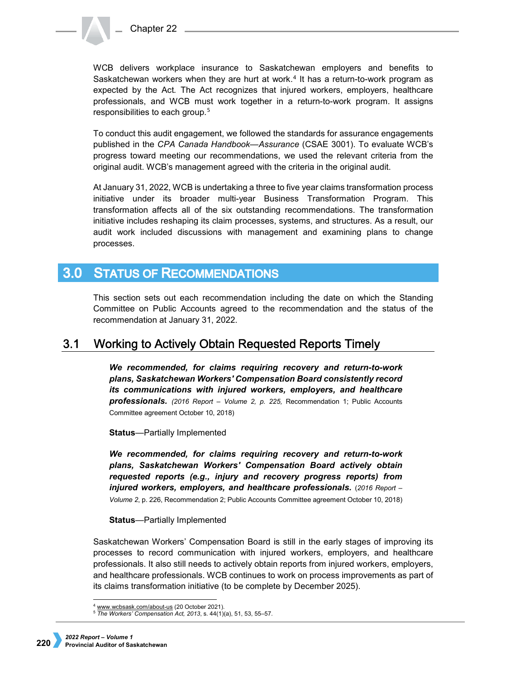WCB delivers workplace insurance to Saskatchewan employers and benefits to Saskatchewan workers when they are hurt at work.[4](#page-1-0) It has a return-to-work program as expected by the Act. The Act recognizes that injured workers, employers, healthcare professionals, and WCB must work together in a return-to-work program. It assigns responsibilities to each group.[5](#page-1-1)

To conduct this audit engagement, we followed the standards for assurance engagements published in the *CPA Canada Handbook—Assurance* (CSAE 3001). To evaluate WCB's progress toward meeting our recommendations, we used the relevant criteria from the original audit. WCB's management agreed with the criteria in the original audit.

At January 31, 2022, WCB is undertaking a three to five year claims transformation process initiative under its broader multi-year Business Transformation Program. This transformation affects all of the six outstanding recommendations. The transformation initiative includes reshaping its claim processes, systems, and structures. As a result, our audit work included discussions with management and examining plans to change processes.

## **STATUS OF RECOMMENDATIONS**  $3.0<sub>2</sub>$

This section sets out each recommendation including the date on which the Standing Committee on Public Accounts agreed to the recommendation and the status of the recommendation at January 31, 2022.

#### **Working to Actively Obtain Requested Reports Timely**  $3.1$

*We recommended, for claims requiring recovery and return-to-work plans, Saskatchewan Workers' Compensation Board consistently record its communications with injured workers, employers, and healthcare professionals. (2016 Report – Volume 2, p. 225,* Recommendation 1; Public Accounts Committee agreement October 10, 2018)

**Status**—Partially Implemented

*We recommended, for claims requiring recovery and return-to-work plans, Saskatchewan Workers' Compensation Board actively obtain requested reports (e.g., injury and recovery progress reports) from injured workers, employers, and healthcare professionals.* (*2016 Report – Volume 2*, p. 226, Recommendation 2; Public Accounts Committee agreement October 10, 2018)

# **Status**—Partially Implemented

Saskatchewan Workers' Compensation Board is still in the early stages of improving its processes to record communication with injured workers, employers, and healthcare professionals. It also still needs to actively obtain reports from injured workers, employers, and healthcare professionals. WCB continues to work on process improvements as part of its claims transformation initiative (to be complete by December 2025).

j [www.wcbsask.com/about-us](https://www.wcbsask.com/about-us) (20 October 2021).

<span id="page-1-1"></span><span id="page-1-0"></span><sup>5</sup> *The Workers' Compensation Act, 2013*, s. 44(1)(a), 51, 53, 55–57.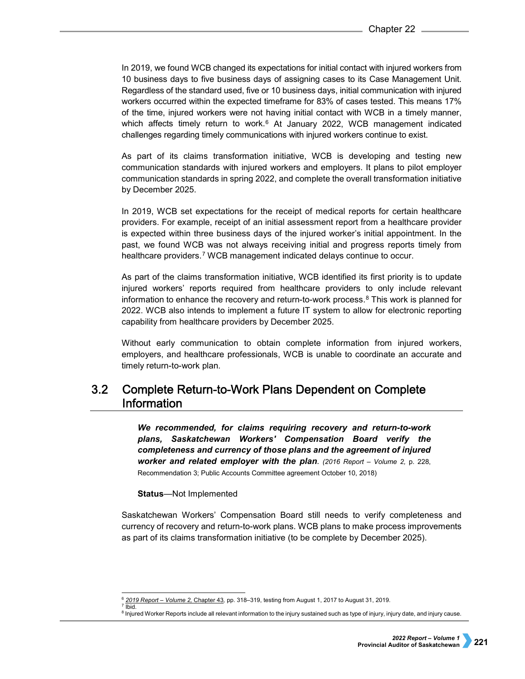In 2019, we found WCB changed its expectations for initial contact with injured workers from 10 business days to five business days of assigning cases to its Case Management Unit. Regardless of the standard used, five or 10 business days, initial communication with injured workers occurred within the expected timeframe for 83% of cases tested. This means 17% of the time, injured workers were not having initial contact with WCB in a timely manner, which affects timely return to work. $6$  At January 2022, WCB management indicated challenges regarding timely communications with injured workers continue to exist.

As part of its claims transformation initiative, WCB is developing and testing new communication standards with injured workers and employers. It plans to pilot employer communication standards in spring 2022, and complete the overall transformation initiative by December 2025.

In 2019, WCB set expectations for the receipt of medical reports for certain healthcare providers. For example, receipt of an initial assessment report from a healthcare provider is expected within three business days of the injured worker's initial appointment. In the past, we found WCB was not always receiving initial and progress reports timely from healthcare providers.<sup>[7](#page-2-1)</sup> WCB management indicated delays continue to occur.

As part of the claims transformation initiative, WCB identified its first priority is to update injured workers' reports required from healthcare providers to only include relevant information to enhance the recovery and return-to-work process.<sup>[8](#page-2-2)</sup> This work is planned for 2022. WCB also intends to implement a future IT system to allow for electronic reporting capability from healthcare providers by December 2025.

Without early communication to obtain complete information from injured workers, employers, and healthcare professionals, WCB is unable to coordinate an accurate and timely return-to-work plan.

## $3.2$ **Complete Return-to-Work Plans Dependent on Complete Information**

*We recommended, for claims requiring recovery and return-to-work plans, Saskatchewan Workers' Compensation Board verify the completeness and currency of those plans and the agreement of injured worker and related employer with the plan. (2016 Report – Volume 2,* p. 228, Recommendation 3; Public Accounts Committee agreement October 10, 2018)

**Status**—Not Implemented

Saskatchewan Workers' Compensation Board still needs to verify completeness and currency of recovery and return-to-work plans. WCB plans to make process improvements as part of its claims transformation initiative (to be complete by December 2025).

<span id="page-2-0"></span> <sup>6</sup> *[2019 Report – Volume 2,](https://auditor.sk.ca/pub/publications/public_reports/2019/Volume_2/Chapter%2043%20-%20Saskatchewan%20Workers%E2%80%99%20Compensation%20Board%E2%80%94Co-ordinating%20Injured%20Workers%E2%80%99%20Return%20to%20Work.pdf)* Chapter 43*,* pp. 318–319, testing from August 1, 2017 to August 31, 2019.  $7$  Ibid.

<span id="page-2-2"></span><span id="page-2-1"></span><sup>8</sup> Injured Worker Reports include all relevant information to the injury sustained such as type of injury, injury date, and injury cause.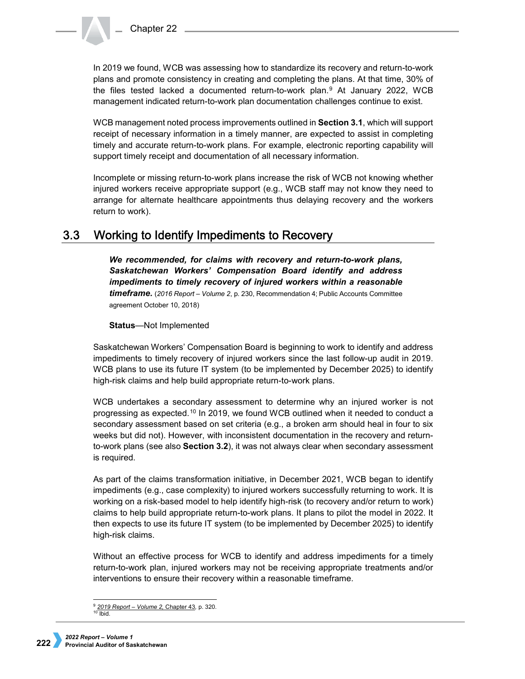In 2019 we found, WCB was assessing how to standardize its recovery and return-to-work plans and promote consistency in creating and completing the plans. At that time, 30% of the files tested lacked a documented return-to-work plan.[9](#page-3-0) At January 2022, WCB management indicated return-to-work plan documentation challenges continue to exist.

WCB management noted process improvements outlined in **Section 3.1**, which will support receipt of necessary information in a timely manner, are expected to assist in completing timely and accurate return-to-work plans. For example, electronic reporting capability will support timely receipt and documentation of all necessary information.

Incomplete or missing return-to-work plans increase the risk of WCB not knowing whether injured workers receive appropriate support (e.g., WCB staff may not know they need to arrange for alternate healthcare appointments thus delaying recovery and the workers return to work).

#### Working to Identify Impediments to Recovery  $3.3$

*We recommended, for claims with recovery and return-to-work plans, Saskatchewan Workers' Compensation Board identify and address impediments to timely recovery of injured workers within a reasonable timeframe.* (*2016 Report – Volume 2*, p. 230, Recommendation 4; Public Accounts Committee agreement October 10, 2018)

**Status**—Not Implemented

Saskatchewan Workers' Compensation Board is beginning to work to identify and address impediments to timely recovery of injured workers since the last follow-up audit in 2019. WCB plans to use its future IT system (to be implemented by December 2025) to identify high-risk claims and help build appropriate return-to-work plans.

WCB undertakes a secondary assessment to determine why an injured worker is not progressing as expected.[10](#page-3-1) In 2019, we found WCB outlined when it needed to conduct a secondary assessment based on set criteria (e.g., a broken arm should heal in four to six weeks but did not). However, with inconsistent documentation in the recovery and returnto-work plans (see also **Section 3.2**), it was not always clear when secondary assessment is required.

As part of the claims transformation initiative, in December 2021, WCB began to identify impediments (e.g., case complexity) to injured workers successfully returning to work. It is working on a risk-based model to help identify high-risk (to recovery and/or return to work) claims to help build appropriate return-to-work plans. It plans to pilot the model in 2022. It then expects to use its future IT system (to be implemented by December 2025) to identify high-risk claims.

Without an effective process for WCB to identify and address impediments for a timely return-to-work plan, injured workers may not be receiving appropriate treatments and/or interventions to ensure their recovery within a reasonable timeframe.

<span id="page-3-1"></span><span id="page-3-0"></span> <sup>9</sup> *[2019 Report – Volume 2,](https://auditor.sk.ca/pub/publications/public_reports/2019/Volume_2/Chapter%2043%20-%20Saskatchewan%20Workers%E2%80%99%20Compensation%20Board%E2%80%94Co-ordinating%20Injured%20Workers%E2%80%99%20Return%20to%20Work.pdf)* Chapter 43*,* p. 320.  $10$  Ibid.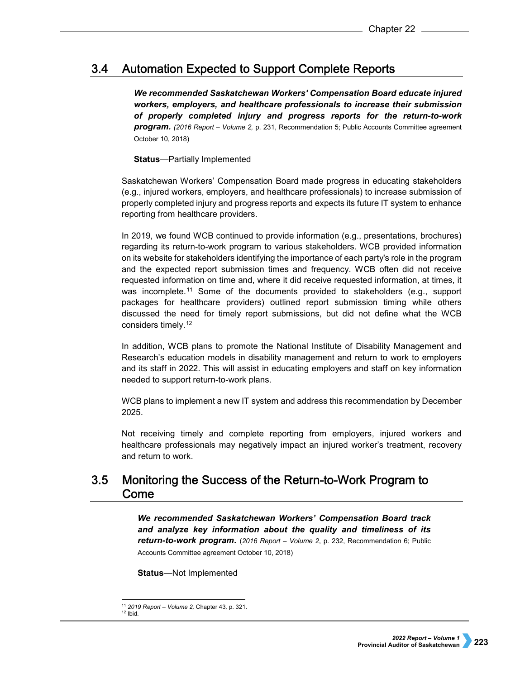#### $3.4$ **Automation Expected to Support Complete Reports**

*We recommended Saskatchewan Workers' Compensation Board educate injured workers, employers, and healthcare professionals to increase their submission of properly completed injury and progress reports for the return-to-work program. (2016 Report – Volume 2,* p. 231, Recommendation 5; Public Accounts Committee agreement October 10, 2018)

## **Status**—Partially Implemented

Saskatchewan Workers' Compensation Board made progress in educating stakeholders (e.g., injured workers, employers, and healthcare professionals) to increase submission of properly completed injury and progress reports and expects its future IT system to enhance reporting from healthcare providers.

In 2019, we found WCB continued to provide information (e.g., presentations, brochures) regarding its return-to-work program to various stakeholders. WCB provided information on its website for stakeholders identifying the importance of each party's role in the program and the expected report submission times and frequency. WCB often did not receive requested information on time and, where it did receive requested information, at times, it was incomplete.[11](#page-4-0) Some of the documents provided to stakeholders (e.g., support packages for healthcare providers) outlined report submission timing while others discussed the need for timely report submissions, but did not define what the WCB considers timely.[12](#page-4-1)

In addition, WCB plans to promote the National Institute of Disability Management and Research's education models in disability management and return to work to employers and its staff in 2022. This will assist in educating employers and staff on key information needed to support return-to-work plans.

WCB plans to implement a new IT system and address this recommendation by December 2025.

Not receiving timely and complete reporting from employers, injured workers and healthcare professionals may negatively impact an injured worker's treatment, recovery and return to work.

## $3.5$ Monitoring the Success of the Return-to-Work Program to Come

*We recommended Saskatchewan Workers' Compensation Board track and analyze key information about the quality and timeliness of its return-to-work program.* (*2016 Report – Volume 2*, p. 232, Recommendation 6; Public Accounts Committee agreement October 10, 2018)

**Status**—Not Implemented

<span id="page-4-1"></span><span id="page-4-0"></span> $12$  Ibid.

 <sup>11</sup> *[2019 Report – Volume 2,](https://auditor.sk.ca/pub/publications/public_reports/2019/Volume_2/Chapter%2043%20-%20Saskatchewan%20Workers%E2%80%99%20Compensation%20Board%E2%80%94Co-ordinating%20Injured%20Workers%E2%80%99%20Return%20to%20Work.pdf)* Chapter 43*,* p. 321.